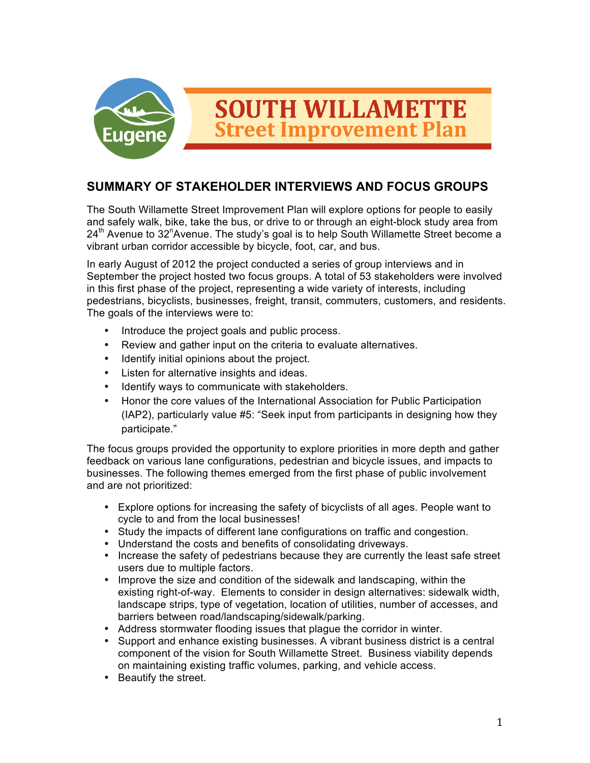

# **SUMMARY OF STAKEHOLDER INTERVIEWS AND FOCUS GROUPS**

The South Willamette Street Improvement Plan will explore options for people to easily and safely walk, bike, take the bus, or drive to or through an eight-block study area from  $24<sup>th</sup>$  Avenue to 32<sup>n</sup>Avenue. The study's goal is to help South Willamette Street become a vibrant urban corridor accessible by bicycle, foot, car, and bus.

In early August of 2012 the project conducted a series of group interviews and in September the project hosted two focus groups. A total of 53 stakeholders were involved in this first phase of the project, representing a wide variety of interests, including pedestrians, bicyclists, businesses, freight, transit, commuters, customers, and residents. The goals of the interviews were to:

- Introduce the project goals and public process.
- Review and gather input on the criteria to evaluate alternatives.
- Identify initial opinions about the project.
- Listen for alternative insights and ideas.
- Identify ways to communicate with stakeholders.
- Honor the core values of the International Association for Public Participation (IAP2), particularly value #5: "Seek input from participants in designing how they participate."

The focus groups provided the opportunity to explore priorities in more depth and gather feedback on various lane configurations, pedestrian and bicycle issues, and impacts to businesses. The following themes emerged from the first phase of public involvement and are not prioritized:

- Explore options for increasing the safety of bicyclists of all ages. People want to cycle to and from the local businesses!
- Study the impacts of different lane configurations on traffic and congestion.
- Understand the costs and benefits of consolidating driveways.
- Increase the safety of pedestrians because they are currently the least safe street users due to multiple factors.
- Improve the size and condition of the sidewalk and landscaping, within the existing right-of-way. Elements to consider in design alternatives: sidewalk width, landscape strips, type of vegetation, location of utilities, number of accesses, and barriers between road/landscaping/sidewalk/parking.
- Address stormwater flooding issues that plague the corridor in winter.
- Support and enhance existing businesses. A vibrant business district is a central component of the vision for South Willamette Street. Business viability depends on maintaining existing traffic volumes, parking, and vehicle access.
- Beautify the street.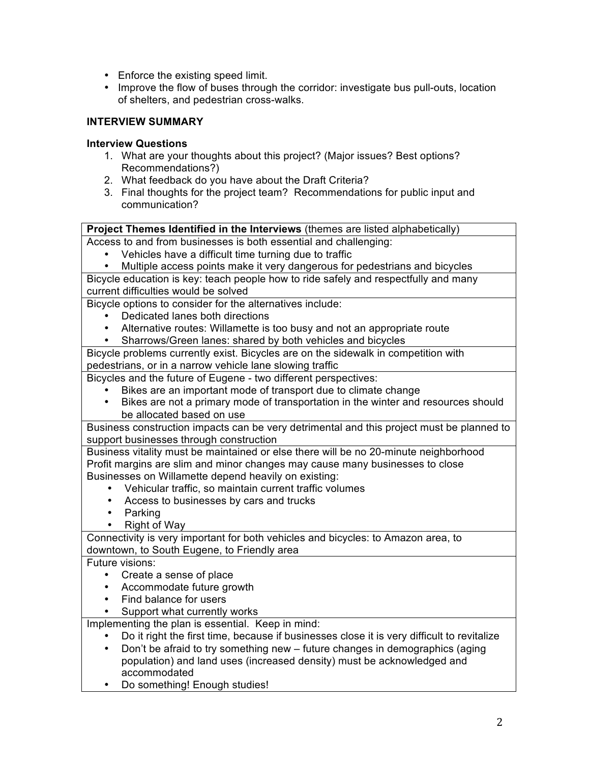- Enforce the existing speed limit.
- Improve the flow of buses through the corridor: investigate bus pull-outs, location of shelters, and pedestrian cross-walks.

# **INTERVIEW SUMMARY**

### **Interview Questions**

- 1. What are your thoughts about this project? (Major issues? Best options? Recommendations?)
- 2. What feedback do you have about the Draft Criteria?
- 3. Final thoughts for the project team? Recommendations for public input and communication?

#### **Project Themes Identified in the Interviews** (themes are listed alphabetically)

Access to and from businesses is both essential and challenging:

- Vehicles have a difficult time turning due to traffic
- Multiple access points make it very dangerous for pedestrians and bicycles

Bicycle education is key: teach people how to ride safely and respectfully and many current difficulties would be solved

Bicycle options to consider for the alternatives include:

- Dedicated lanes both directions
- Alternative routes: Willamette is too busy and not an appropriate route
- Sharrows/Green lanes: shared by both vehicles and bicycles

Bicycle problems currently exist. Bicycles are on the sidewalk in competition with pedestrians, or in a narrow vehicle lane slowing traffic

Bicycles and the future of Eugene - two different perspectives:

- Bikes are an important mode of transport due to climate change
- Bikes are not a primary mode of transportation in the winter and resources should be allocated based on use

Business construction impacts can be very detrimental and this project must be planned to support businesses through construction

Business vitality must be maintained or else there will be no 20-minute neighborhood Profit margins are slim and minor changes may cause many businesses to close Businesses on Willamette depend heavily on existing:

- Vehicular traffic, so maintain current traffic volumes
- Access to businesses by cars and trucks
- Parking<br>• Right of
- Right of Way

Connectivity is very important for both vehicles and bicycles: to Amazon area, to downtown, to South Eugene, to Friendly area

Future visions:

- Create a sense of place
- Accommodate future growth
- Find balance for users
- Support what currently works

Implementing the plan is essential. Keep in mind:

- Do it right the first time, because if businesses close it is very difficult to revitalize
- Don't be afraid to try something new future changes in demographics (aging population) and land uses (increased density) must be acknowledged and accommodated
- Do something! Enough studies!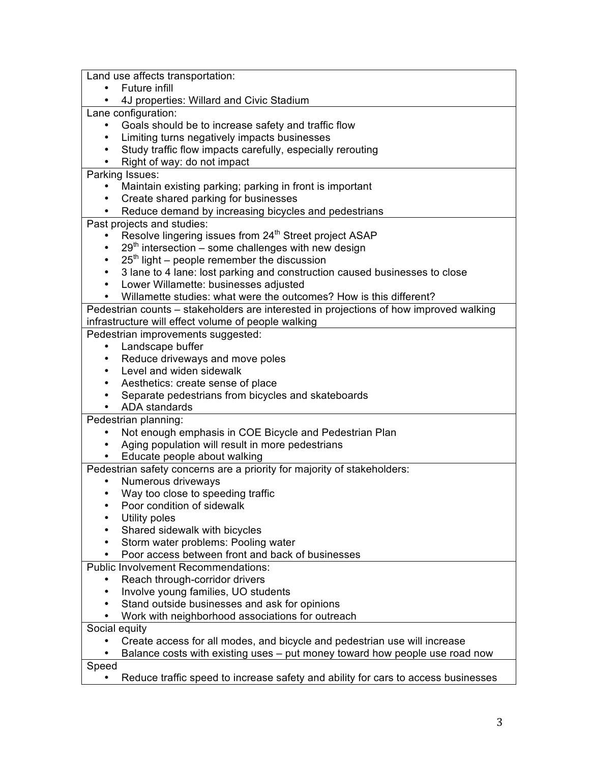Land use affects transportation:

- Future infill
- 4J properties: Willard and Civic Stadium

Lane configuration:

- Goals should be to increase safety and traffic flow
- Limiting turns negatively impacts businesses
- Study traffic flow impacts carefully, especially rerouting
- Right of way: do not impact

Parking Issues:

- Maintain existing parking; parking in front is important
- Create shared parking for businesses
- Reduce demand by increasing bicycles and pedestrians

Past projects and studies:

- Resolve lingering issues from 24<sup>th</sup> Street project ASAP
- $29<sup>th</sup>$  intersection some challenges with new design
- $\cdot$  25<sup>th</sup> light people remember the discussion
- 3 lane to 4 lane: lost parking and construction caused businesses to close
- Lower Willamette: businesses adjusted
- Willamette studies: what were the outcomes? How is this different?

Pedestrian counts – stakeholders are interested in projections of how improved walking infrastructure will effect volume of people walking

Pedestrian improvements suggested:

- Landscape buffer
- Reduce driveways and move poles
- Level and widen sidewalk
- Aesthetics: create sense of place
- Separate pedestrians from bicycles and skateboards
- ADA standards

Pedestrian planning:

- Not enough emphasis in COE Bicycle and Pedestrian Plan
- Aging population will result in more pedestrians
- Educate people about walking

Pedestrian safety concerns are a priority for majority of stakeholders:

- Numerous driveways
- Way too close to speeding traffic
- Poor condition of sidewalk
- Utility poles
- Shared sidewalk with bicycles
- Storm water problems: Pooling water
- Poor access between front and back of businesses

Public Involvement Recommendations:

- Reach through-corridor drivers
- Involve young families, UO students
- Stand outside businesses and ask for opinions
- Work with neighborhood associations for outreach

Social equity

• Create access for all modes, and bicycle and pedestrian use will increase

• Balance costs with existing uses – put money toward how people use road now Speed

• Reduce traffic speed to increase safety and ability for cars to access businesses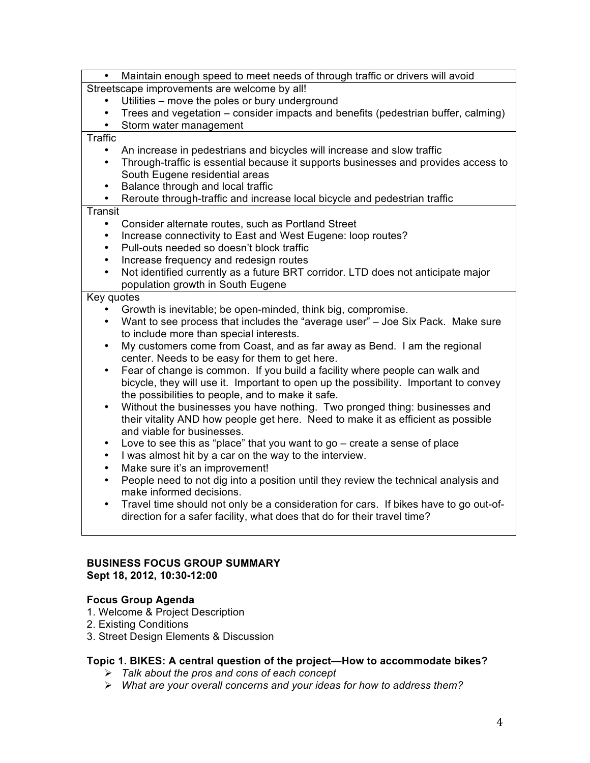| Maintain enough speed to meet needs of through traffic or drivers will avoid<br>$\bullet$                                                                        |
|------------------------------------------------------------------------------------------------------------------------------------------------------------------|
| Streetscape improvements are welcome by all!                                                                                                                     |
| Utilities - move the poles or bury underground                                                                                                                   |
| Trees and vegetation – consider impacts and benefits (pedestrian buffer, calming)<br>$\bullet$                                                                   |
| Storm water management<br>$\bullet$                                                                                                                              |
| <b>Traffic</b>                                                                                                                                                   |
| An increase in pedestrians and bicycles will increase and slow traffic<br>$\bullet$                                                                              |
| Through-traffic is essential because it supports businesses and provides access to<br>$\bullet$                                                                  |
| South Eugene residential areas                                                                                                                                   |
| Balance through and local traffic<br>$\bullet$                                                                                                                   |
| Reroute through-traffic and increase local bicycle and pedestrian traffic<br>$\bullet$                                                                           |
| <b>Transit</b>                                                                                                                                                   |
| Consider alternate routes, such as Portland Street<br>$\bullet$                                                                                                  |
| Increase connectivity to East and West Eugene: loop routes?<br>$\bullet$                                                                                         |
| Pull-outs needed so doesn't block traffic<br>$\bullet$                                                                                                           |
| Increase frequency and redesign routes<br>$\bullet$                                                                                                              |
| Not identified currently as a future BRT corridor. LTD does not anticipate major<br>$\bullet$                                                                    |
| population growth in South Eugene                                                                                                                                |
| Key quotes                                                                                                                                                       |
| Growth is inevitable; be open-minded, think big, compromise.                                                                                                     |
| Want to see process that includes the "average user" - Joe Six Pack. Make sure<br>$\bullet$                                                                      |
| to include more than special interests.                                                                                                                          |
| My customers come from Coast, and as far away as Bend. I am the regional<br>$\bullet$                                                                            |
| center. Needs to be easy for them to get here.                                                                                                                   |
| Fear of change is common. If you build a facility where people can walk and<br>$\bullet$                                                                         |
| bicycle, they will use it. Important to open up the possibility. Important to convey                                                                             |
| the possibilities to people, and to make it safe.                                                                                                                |
| Without the businesses you have nothing. Two pronged thing: businesses and<br>$\bullet$                                                                          |
| their vitality AND how people get here. Need to make it as efficient as possible                                                                                 |
| and viable for businesses.                                                                                                                                       |
| Love to see this as "place" that you want to go $-$ create a sense of place<br>$\bullet$                                                                         |
| I was almost hit by a car on the way to the interview.<br>$\bullet$                                                                                              |
| Make sure it's an improvement!<br>$\bullet$                                                                                                                      |
| People need to not dig into a position until they review the technical analysis and<br>$\bullet$<br>make informed decisions.                                     |
| $\bullet$                                                                                                                                                        |
| Travel time should not only be a consideration for cars. If bikes have to go out-of-<br>direction for a safer facility, what does that do for their travel time? |
|                                                                                                                                                                  |

#### **BUSINESS FOCUS GROUP SUMMARY Sept 18, 2012, 10:30-12:00**

## **Focus Group Agenda**

- 1. Welcome & Project Description
- 2. Existing Conditions
- 3. Street Design Elements & Discussion

# **Topic 1. BIKES: A central question of the project—How to accommodate bikes?**

- *Talk about the pros and cons of each concept*
- *What are your overall concerns and your ideas for how to address them?*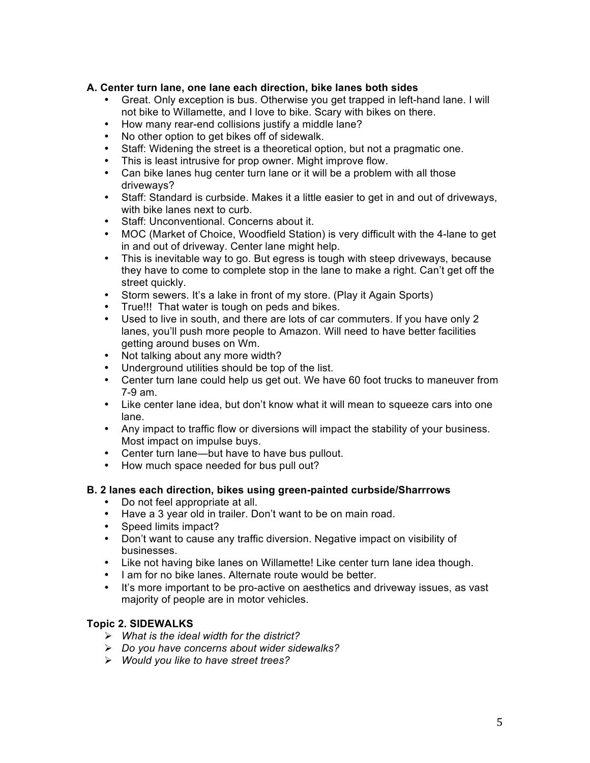### **A. Center turn lane, one lane each direction, bike lanes both sides**

- Great. Only exception is bus. Otherwise you get trapped in left-hand lane. I will not bike to Willamette, and I love to bike. Scary with bikes on there.
- How many rear-end collisions justify a middle lane?
- No other option to get bikes off of sidewalk.
- Staff: Widening the street is a theoretical option, but not a pragmatic one.
- This is least intrusive for prop owner. Might improve flow.
- Can bike lanes hug center turn lane or it will be a problem with all those driveways?
- Staff: Standard is curbside. Makes it a little easier to get in and out of driveways, with bike lanes next to curb.
- Staff: Unconventional. Concerns about it.
- MOC (Market of Choice, Woodfield Station) is very difficult with the 4-lane to get in and out of driveway. Center lane might help.
- This is inevitable way to go. But egress is tough with steep driveways, because they have to come to complete stop in the lane to make a right. Can't get off the street quickly.
- Storm sewers. It's a lake in front of my store. (Play it Again Sports)
- True!!! That water is tough on peds and bikes.
- Used to live in south, and there are lots of car commuters. If you have only 2 lanes, you'll push more people to Amazon. Will need to have better facilities getting around buses on Wm.
- Not talking about any more width?
- Underground utilities should be top of the list.
- Center turn lane could help us get out. We have 60 foot trucks to maneuver from 7-9 am.
- Like center lane idea, but don't know what it will mean to squeeze cars into one lane.
- Any impact to traffic flow or diversions will impact the stability of your business. Most impact on impulse buys.
- Center turn lane—but have to have bus pullout.
- How much space needed for bus pull out?

### **B. 2 lanes each direction, bikes using green-painted curbside/Sharrrows**

- Do not feel appropriate at all.
- Have a 3 year old in trailer. Don't want to be on main road.
- Speed limits impact?
- Don't want to cause any traffic diversion. Negative impact on visibility of businesses.
- Like not having bike lanes on Willamette! Like center turn lane idea though.
- I am for no bike lanes. Alternate route would be better.
- It's more important to be pro-active on aesthetics and driveway issues, as vast majority of people are in motor vehicles.

### **Topic 2. SIDEWALKS**

- *What is the ideal width for the district?*
- *Do you have concerns about wider sidewalks?*
- *Would you like to have street trees?*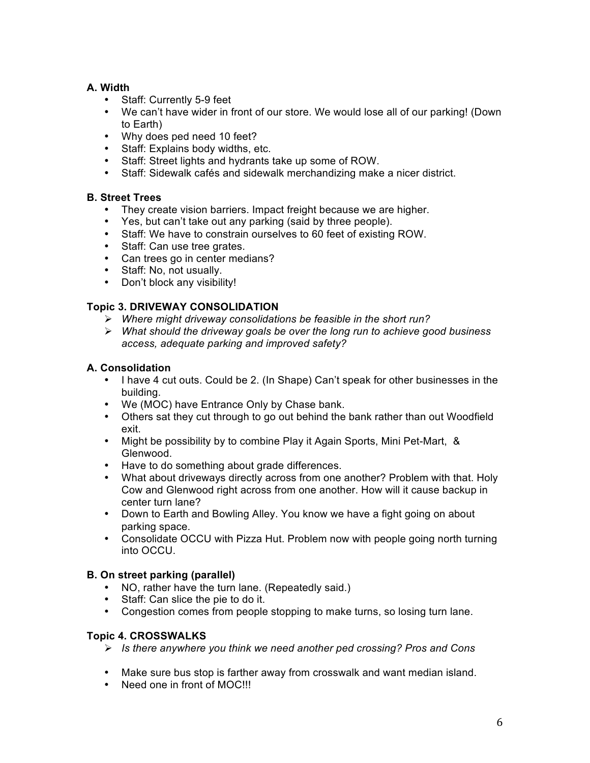# **A. Width**

- Staff: Currently 5-9 feet
- We can't have wider in front of our store. We would lose all of our parking! (Down to Earth)
- Why does ped need 10 feet?
- Staff: Explains body widths, etc.
- Staff: Street lights and hydrants take up some of ROW.
- Staff: Sidewalk cafés and sidewalk merchandizing make a nicer district.

## **B. Street Trees**

- They create vision barriers. Impact freight because we are higher.
- Yes, but can't take out any parking (said by three people).
- Staff: We have to constrain ourselves to 60 feet of existing ROW.
- Staff: Can use tree grates.
- Can trees go in center medians?
- Staff: No, not usually.
- Don't block any visibility!

# **Topic 3. DRIVEWAY CONSOLIDATION**

- *Where might driveway consolidations be feasible in the short run?*
- *What should the driveway goals be over the long run to achieve good business access, adequate parking and improved safety?*

## **A. Consolidation**

- I have 4 cut outs. Could be 2. (In Shape) Can't speak for other businesses in the building.
- We (MOC) have Entrance Only by Chase bank.
- Others sat they cut through to go out behind the bank rather than out Woodfield exit.
- Might be possibility by to combine Play it Again Sports, Mini Pet-Mart, & Glenwood.
- Have to do something about grade differences.
- What about driveways directly across from one another? Problem with that. Holy Cow and Glenwood right across from one another. How will it cause backup in center turn lane?
- Down to Earth and Bowling Alley. You know we have a fight going on about parking space.
- Consolidate OCCU with Pizza Hut. Problem now with people going north turning into OCCU.

# **B. On street parking (parallel)**

- NO, rather have the turn lane. (Repeatedly said.)
- Staff: Can slice the pie to do it.
- Congestion comes from people stopping to make turns, so losing turn lane.

### **Topic 4. CROSSWALKS**

- *Is there anywhere you think we need another ped crossing? Pros and Cons*
- Make sure bus stop is farther away from crosswalk and want median island.
- Need one in front of MOC!!!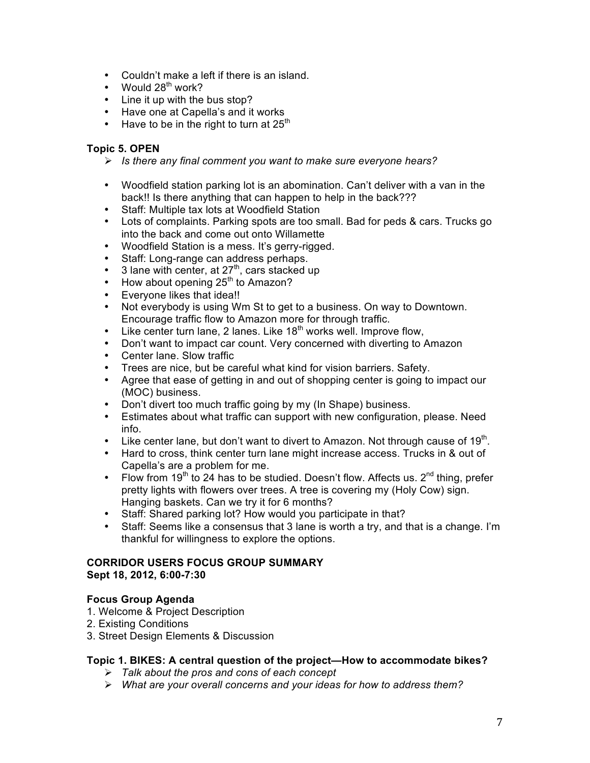- Couldn't make a left if there is an island.
- Would  $28<sup>th</sup>$  work?
- Line it up with the bus stop?
- Have one at Capella's and it works
- Have to be in the right to turn at  $25<sup>th</sup>$

# **Topic 5. OPEN**

- *Is there any final comment you want to make sure everyone hears?*
- Woodfield station parking lot is an abomination. Can't deliver with a van in the back!! Is there anything that can happen to help in the back???
- Staff: Multiple tax lots at Woodfield Station
- Lots of complaints. Parking spots are too small. Bad for peds & cars. Trucks go into the back and come out onto Willamette
- Woodfield Station is a mess. It's gerry-rigged.
- Staff: Long-range can address perhaps.
- $\bullet$  3 lane with center, at 27<sup>th</sup>, cars stacked up
- How about opening  $25<sup>th</sup>$  to Amazon?
- Everyone likes that idea!!
- Not everybody is using Wm St to get to a business. On way to Downtown. Encourage traffic flow to Amazon more for through traffic.
- $\cdot$  Like center turn lane, 2 lanes. Like 18<sup>th</sup> works well. Improve flow,
- Don't want to impact car count. Very concerned with diverting to Amazon
- Center lane. Slow traffic
- Trees are nice, but be careful what kind for vision barriers. Safety.
- Agree that ease of getting in and out of shopping center is going to impact our (MOC) business.
- Don't divert too much traffic going by my (In Shape) business.
- Estimates about what traffic can support with new configuration, please. Need info.
- Like center lane, but don't want to divert to Amazon. Not through cause of 19<sup>th</sup>.
- Hard to cross, think center turn lane might increase access. Trucks in & out of Capella's are a problem for me.
- Flow from  $19<sup>th</sup>$  to 24 has to be studied. Doesn't flow. Affects us.  $2<sup>nd</sup>$  thing, prefer pretty lights with flowers over trees. A tree is covering my (Holy Cow) sign. Hanging baskets. Can we try it for 6 months?
- Staff: Shared parking lot? How would you participate in that?
- Staff: Seems like a consensus that 3 lane is worth a try, and that is a change. I'm thankful for willingness to explore the options.

#### **CORRIDOR USERS FOCUS GROUP SUMMARY Sept 18, 2012, 6:00-7:30**

### **Focus Group Agenda**

- 1. Welcome & Project Description
- 2. Existing Conditions
- 3. Street Design Elements & Discussion

### **Topic 1. BIKES: A central question of the project—How to accommodate bikes?**

- *Talk about the pros and cons of each concept*
- *What are your overall concerns and your ideas for how to address them?*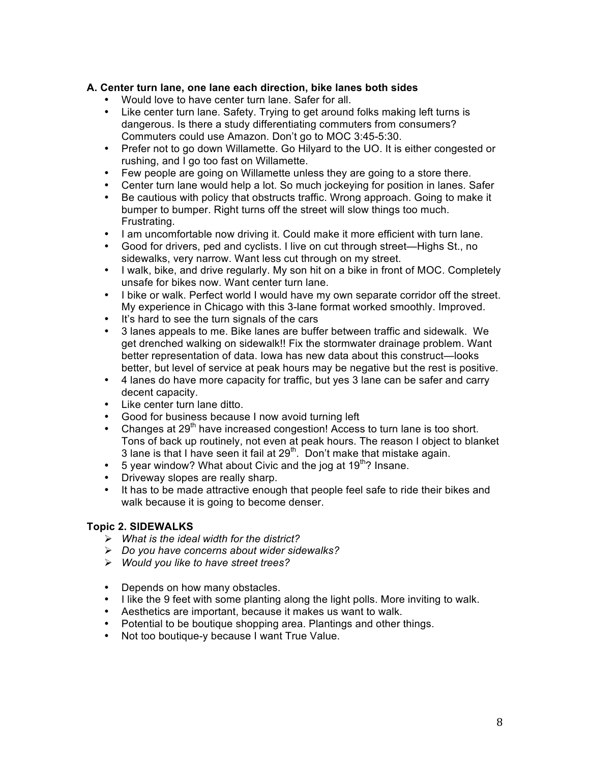### **A. Center turn lane, one lane each direction, bike lanes both sides**

- Would love to have center turn lane. Safer for all.
- Like center turn lane. Safety. Trying to get around folks making left turns is dangerous. Is there a study differentiating commuters from consumers? Commuters could use Amazon. Don't go to MOC 3:45-5:30.
- Prefer not to go down Willamette. Go Hilyard to the UO. It is either congested or rushing, and I go too fast on Willamette.
- Few people are going on Willamette unless they are going to a store there.
- Center turn lane would help a lot. So much jockeying for position in lanes. Safer
- Be cautious with policy that obstructs traffic. Wrong approach. Going to make it bumper to bumper. Right turns off the street will slow things too much. Frustrating.
- I am uncomfortable now driving it. Could make it more efficient with turn lane.
- Good for drivers, ped and cyclists. I live on cut through street—Highs St., no sidewalks, very narrow. Want less cut through on my street.
- I walk, bike, and drive regularly. My son hit on a bike in front of MOC. Completely unsafe for bikes now. Want center turn lane.
- I bike or walk. Perfect world I would have my own separate corridor off the street. My experience in Chicago with this 3-lane format worked smoothly. Improved.
- It's hard to see the turn signals of the cars
- 3 lanes appeals to me. Bike lanes are buffer between traffic and sidewalk. We get drenched walking on sidewalk!! Fix the stormwater drainage problem. Want better representation of data. Iowa has new data about this construct—looks better, but level of service at peak hours may be negative but the rest is positive.
- 4 lanes do have more capacity for traffic, but yes 3 lane can be safer and carry decent capacity.
- Like center turn lane ditto.
- Good for business because I now avoid turning left
- Changes at  $29<sup>th</sup>$  have increased congestion! Access to turn lane is too short. Tons of back up routinely, not even at peak hours. The reason I object to blanket 3 lane is that I have seen it fail at  $29<sup>th</sup>$ . Don't make that mistake again.
- 5 year window? What about Civic and the jog at  $19<sup>th</sup>$ ? Insane.
- Driveway slopes are really sharp.
- It has to be made attractive enough that people feel safe to ride their bikes and walk because it is going to become denser.

#### **Topic 2. SIDEWALKS**

- *What is the ideal width for the district?*
- *Do you have concerns about wider sidewalks?*
- *Would you like to have street trees?*
- Depends on how many obstacles.
- I like the 9 feet with some planting along the light polls. More inviting to walk.
- Aesthetics are important, because it makes us want to walk.
- Potential to be boutique shopping area. Plantings and other things.
- Not too boutique-y because I want True Value.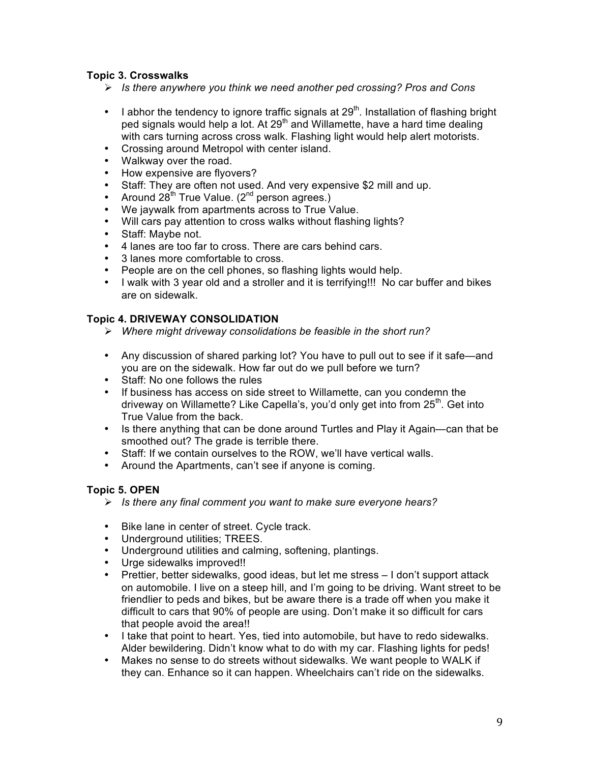## **Topic 3. Crosswalks**

- *Is there anywhere you think we need another ped crossing? Pros and Cons*
- I abhor the tendency to ignore traffic signals at  $29<sup>th</sup>$ . Installation of flashing bright ped signals would help a lot. At  $29<sup>th</sup>$  and Willamette, have a hard time dealing with cars turning across cross walk. Flashing light would help alert motorists.
- Crossing around Metropol with center island.
- Walkway over the road.
- How expensive are flyovers?
- Staff: They are often not used. And very expensive \$2 mill and up.
- Around  $28^{th}$  True Value. ( $2^{nd}$  person agrees.)
- We jaywalk from apartments across to True Value.
- Will cars pay attention to cross walks without flashing lights?
- Staff: Maybe not.
- 4 lanes are too far to cross. There are cars behind cars.
- 3 lanes more comfortable to cross.
- People are on the cell phones, so flashing lights would help.
- I walk with 3 year old and a stroller and it is terrifying!!! No car buffer and bikes are on sidewalk.

#### **Topic 4. DRIVEWAY CONSOLIDATION**

- *Where might driveway consolidations be feasible in the short run?*
- Any discussion of shared parking lot? You have to pull out to see if it safe—and you are on the sidewalk. How far out do we pull before we turn?
- Staff: No one follows the rules
- If business has access on side street to Willamette, can you condemn the driveway on Willamette? Like Capella's, you'd only get into from  $25<sup>th</sup>$ . Get into True Value from the back.
- Is there anything that can be done around Turtles and Play it Again—can that be smoothed out? The grade is terrible there.
- Staff: If we contain ourselves to the ROW, we'll have vertical walls.
- Around the Apartments, can't see if anyone is coming.

### **Topic 5. OPEN**

- *Is there any final comment you want to make sure everyone hears?*
- Bike lane in center of street. Cycle track.
- Underground utilities; TREES.
- Underground utilities and calming, softening, plantings.
- Urge sidewalks improved!!
- Prettier, better sidewalks, good ideas, but let me stress I don't support attack on automobile. I live on a steep hill, and I'm going to be driving. Want street to be friendlier to peds and bikes, but be aware there is a trade off when you make it difficult to cars that 90% of people are using. Don't make it so difficult for cars that people avoid the area!!
- I take that point to heart. Yes, tied into automobile, but have to redo sidewalks. Alder bewildering. Didn't know what to do with my car. Flashing lights for peds!
- Makes no sense to do streets without sidewalks. We want people to WALK if they can. Enhance so it can happen. Wheelchairs can't ride on the sidewalks.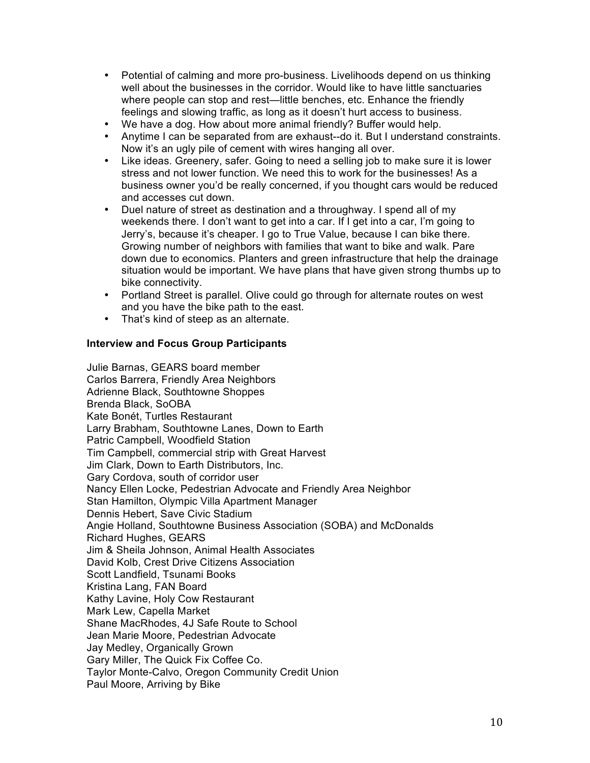- Potential of calming and more pro-business. Livelihoods depend on us thinking well about the businesses in the corridor. Would like to have little sanctuaries where people can stop and rest—little benches, etc. Enhance the friendly feelings and slowing traffic, as long as it doesn't hurt access to business.
- We have a dog. How about more animal friendly? Buffer would help.
- Anytime I can be separated from are exhaust--do it. But I understand constraints. Now it's an ugly pile of cement with wires hanging all over.
- Like ideas. Greenery, safer. Going to need a selling job to make sure it is lower stress and not lower function. We need this to work for the businesses! As a business owner you'd be really concerned, if you thought cars would be reduced and accesses cut down.
- Duel nature of street as destination and a throughway. I spend all of my weekends there. I don't want to get into a car. If I get into a car, I'm going to Jerry's, because it's cheaper. I go to True Value, because I can bike there. Growing number of neighbors with families that want to bike and walk. Pare down due to economics. Planters and green infrastructure that help the drainage situation would be important. We have plans that have given strong thumbs up to bike connectivity.
- Portland Street is parallel. Olive could go through for alternate routes on west and you have the bike path to the east.
- That's kind of steep as an alternate.

#### **Interview and Focus Group Participants**

Julie Barnas, GEARS board member Carlos Barrera, Friendly Area Neighbors Adrienne Black, Southtowne Shoppes Brenda Black, SoOBA Kate Bonét, Turtles Restaurant Larry Brabham, Southtowne Lanes, Down to Earth Patric Campbell, Woodfield Station Tim Campbell, commercial strip with Great Harvest Jim Clark, Down to Earth Distributors, Inc. Gary Cordova, south of corridor user Nancy Ellen Locke, Pedestrian Advocate and Friendly Area Neighbor Stan Hamilton, Olympic Villa Apartment Manager Dennis Hebert, Save Civic Stadium Angie Holland, Southtowne Business Association (SOBA) and McDonalds Richard Hughes, GEARS Jim & Sheila Johnson, Animal Health Associates David Kolb, Crest Drive Citizens Association Scott Landfield, Tsunami Books Kristina Lang, FAN Board Kathy Lavine, Holy Cow Restaurant Mark Lew, Capella Market Shane MacRhodes, 4J Safe Route to School Jean Marie Moore, Pedestrian Advocate Jay Medley, Organically Grown Gary Miller, The Quick Fix Coffee Co. Taylor Monte-Calvo, Oregon Community Credit Union Paul Moore, Arriving by Bike